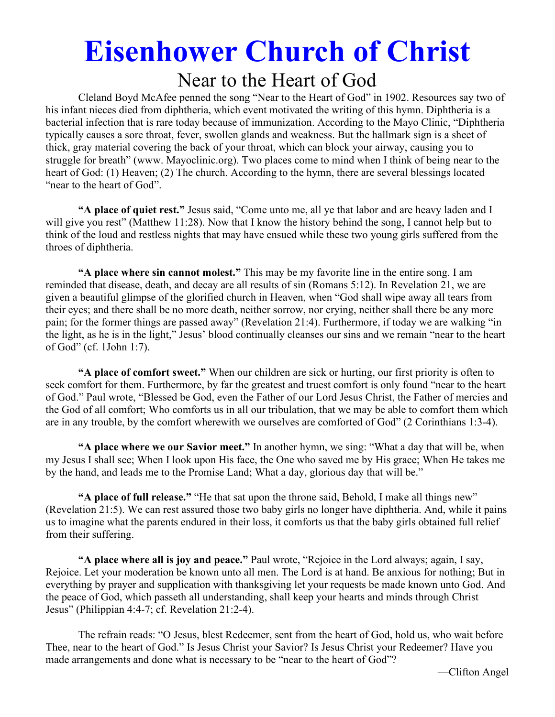# **Eisenhower Church of Christ**  Near to the Heart of God

 Cleland Boyd McAfee penned the song "Near to the Heart of God" in 1902. Resources say two of his infant nieces died from diphtheria, which event motivated the writing of this hymn. Diphtheria is a bacterial infection that is rare today because of immunization. According to the Mayo Clinic, "Diphtheria typically causes a sore throat, fever, swollen glands and weakness. But the hallmark sign is a sheet of thick, gray material covering the back of your throat, which can block your airway, causing you to struggle for breath" (www. Mayoclinic.org). Two places come to mind when I think of being near to the heart of God: (1) Heaven; (2) The church. According to the hymn, there are several blessings located "near to the heart of God".

**"A place of quiet rest."** Jesus said, "Come unto me, all ye that labor and are heavy laden and I will give you rest" (Matthew 11:28). Now that I know the history behind the song, I cannot help but to think of the loud and restless nights that may have ensued while these two young girls suffered from the throes of diphtheria.

**"A place where sin cannot molest."** This may be my favorite line in the entire song. I am reminded that disease, death, and decay are all results of sin (Romans 5:12). In Revelation 21, we are given a beautiful glimpse of the glorified church in Heaven, when "God shall wipe away all tears from their eyes; and there shall be no more death, neither sorrow, nor crying, neither shall there be any more pain; for the former things are passed away" (Revelation 21:4). Furthermore, if today we are walking "in the light, as he is in the light," Jesus' blood continually cleanses our sins and we remain "near to the heart of God" (cf. 1John 1:7).

**"A place of comfort sweet."** When our children are sick or hurting, our first priority is often to seek comfort for them. Furthermore, by far the greatest and truest comfort is only found "near to the heart of God." Paul wrote, "Blessed be God, even the Father of our Lord Jesus Christ, the Father of mercies and the God of all comfort; Who comforts us in all our tribulation, that we may be able to comfort them which are in any trouble, by the comfort wherewith we ourselves are comforted of God" (2 Corinthians 1:3-4).

**"A place where we our Savior meet."** In another hymn, we sing: "What a day that will be, when my Jesus I shall see; When I look upon His face, the One who saved me by His grace; When He takes me by the hand, and leads me to the Promise Land; What a day, glorious day that will be."

**"A place of full release."** "He that sat upon the throne said, Behold, I make all things new" (Revelation 21:5). We can rest assured those two baby girls no longer have diphtheria. And, while it pains us to imagine what the parents endured in their loss, it comforts us that the baby girls obtained full relief from their suffering.

**"A place where all is joy and peace."** Paul wrote, "Rejoice in the Lord always; again, I say, Rejoice. Let your moderation be known unto all men. The Lord is at hand. Be anxious for nothing; But in everything by prayer and supplication with thanksgiving let your requests be made known unto God. And the peace of God, which passeth all understanding, shall keep your hearts and minds through Christ Jesus" (Philippian 4:4-7; cf. Revelation 21:2-4).

The refrain reads: "O Jesus, blest Redeemer, sent from the heart of God, hold us, who wait before Thee, near to the heart of God." Is Jesus Christ your Savior? Is Jesus Christ your Redeemer? Have you made arrangements and done what is necessary to be "near to the heart of God"?

—Clifton Angel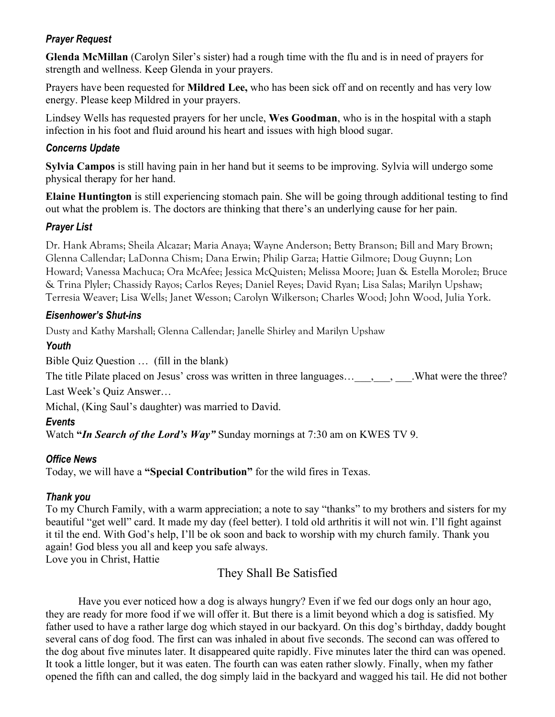## *Prayer Request*

**Glenda McMillan** (Carolyn Siler's sister) had a rough time with the flu and is in need of prayers for strength and wellness. Keep Glenda in your prayers.

Prayers have been requested for **Mildred Lee,** who has been sick off and on recently and has very low energy. Please keep Mildred in your prayers.

Lindsey Wells has requested prayers for her uncle, **Wes Goodman**, who is in the hospital with a staph infection in his foot and fluid around his heart and issues with high blood sugar.

#### *Concerns Update*

**Sylvia Campos** is still having pain in her hand but it seems to be improving. Sylvia will undergo some physical therapy for her hand.

**Elaine Huntington** is still experiencing stomach pain. She will be going through additional testing to find out what the problem is. The doctors are thinking that there's an underlying cause for her pain.

# *Prayer List*

Dr. Hank Abrams; Sheila Alcazar; Maria Anaya; Wayne Anderson; Betty Branson; Bill and Mary Brown; Glenna Callendar; LaDonna Chism; Dana Erwin; Philip Garza; Hattie Gilmore; Doug Guynn; Lon Howard; Vanessa Machuca; Ora McAfee; Jessica McQuisten; Melissa Moore; Juan & Estella Morolez; Bruce & Trina Plyler; Chassidy Rayos; Carlos Reyes; Daniel Reyes; David Ryan; Lisa Salas; Marilyn Upshaw; Terresia Weaver; Lisa Wells; Janet Wesson; Carolyn Wilkerson; Charles Wood; John Wood, Julia York.

## *Eisenhower's Shut-ins*

Dusty and Kathy Marshall; Glenna Callendar; Janelle Shirley and Marilyn Upshaw

## *Youth*

Bible Quiz Question … (fill in the blank)

The title Pilate placed on Jesus' cross was written in three languages...  $\ldots$ ,  $\ldots$ , What were the three? Last Week's Quiz Answer…

Michal, (King Saul's daughter) was married to David.

#### *Events*

Watch **"***In Search of the Lord's Way"* Sunday mornings at 7:30 am on KWES TV 9.

# *Office News*

Today, we will have a **"Special Contribution"** for the wild fires in Texas.

# *Thank you*

To my Church Family, with a warm appreciation; a note to say "thanks" to my brothers and sisters for my beautiful "get well" card. It made my day (feel better). I told old arthritis it will not win. I'll fight against it til the end. With God's help, I'll be ok soon and back to worship with my church family. Thank you again! God bless you all and keep you safe always. Love you in Christ, Hattie

They Shall Be Satisfied

Have you ever noticed how a dog is always hungry? Even if we fed our dogs only an hour ago, they are ready for more food if we will offer it. But there is a limit beyond which a dog is satisfied. My father used to have a rather large dog which stayed in our backyard. On this dog's birthday, daddy bought several cans of dog food. The first can was inhaled in about five seconds. The second can was offered to the dog about five minutes later. It disappeared quite rapidly. Five minutes later the third can was opened. It took a little longer, but it was eaten. The fourth can was eaten rather slowly. Finally, when my father opened the fifth can and called, the dog simply laid in the backyard and wagged his tail. He did not bother